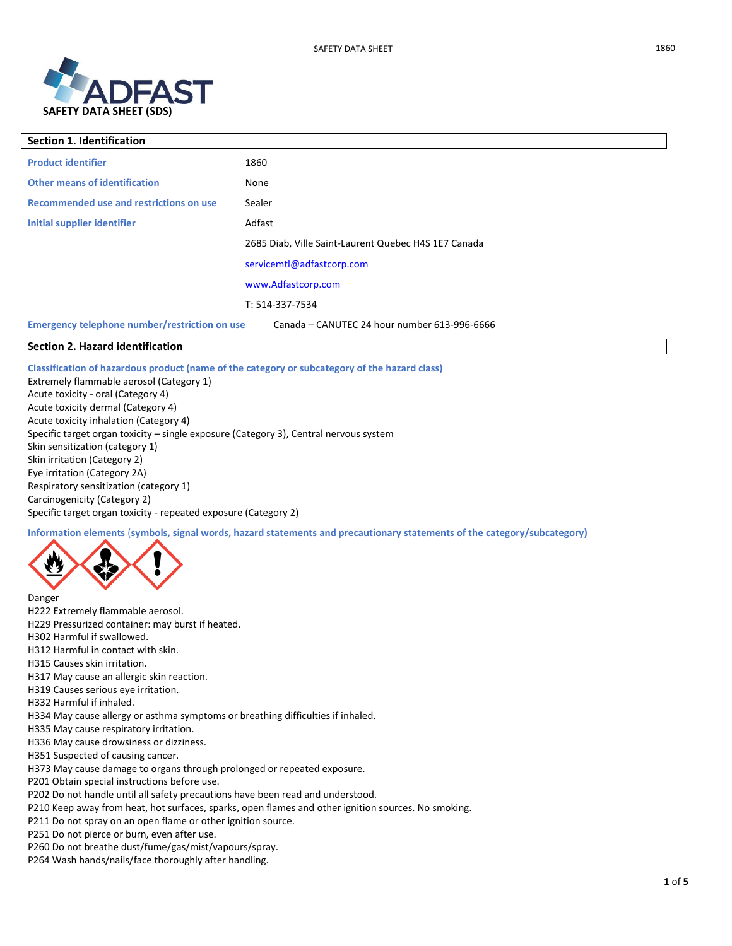

| <b>Section 1. Identification</b>                                                              |                                                      |  |
|-----------------------------------------------------------------------------------------------|------------------------------------------------------|--|
| <b>Product identifier</b>                                                                     | 1860                                                 |  |
| <b>Other means of identification</b>                                                          | None                                                 |  |
| Recommended use and restrictions on use                                                       | Sealer                                               |  |
| Initial supplier identifier                                                                   | Adfast                                               |  |
|                                                                                               | 2685 Diab, Ville Saint-Laurent Quebec H4S 1E7 Canada |  |
|                                                                                               | servicemtl@adfastcorp.com                            |  |
|                                                                                               | www.Adfastcorp.com                                   |  |
|                                                                                               | T: 514-337-7534                                      |  |
| Emergency telephone number/restriction on use<br>Canada - CANUTEC 24 hour number 613-996-6666 |                                                      |  |

# **Section 2. Hazard identification**

**Classification of hazardous product (name of the category or subcategory of the hazard class)**

Extremely flammable aerosol (Category 1) Acute toxicity - oral (Category 4) Acute toxicity dermal (Category 4) Acute toxicity inhalation (Category 4) Specific target organ toxicity – single exposure (Category 3), Central nervous system Skin sensitization (category 1) Skin irritation (Category 2) Eye irritation (Category 2A) Respiratory sensitization (category 1) Carcinogenicity (Category 2) Specific target organ toxicity - repeated exposure (Category 2)

**Information elements** (**symbols, signal words, hazard statements and precautionary statements of the category/subcategory)**



Danger

- H222 Extremely flammable aerosol.
- H229 Pressurized container: may burst if heated.
- H302 Harmful if swallowed.
- H312 Harmful in contact with skin.
- H315 Causes skin irritation.
- H317 May cause an allergic skin reaction.
- H319 Causes serious eye irritation.
- H332 Harmful if inhaled.
- H334 May cause allergy or asthma symptoms or breathing difficulties if inhaled.
- H335 May cause respiratory irritation.
- H336 May cause drowsiness or dizziness.
- H351 Suspected of causing cancer.

H373 May cause damage to organs through prolonged or repeated exposure.

- P201 Obtain special instructions before use.
- P202 Do not handle until all safety precautions have been read and understood.
- P210 Keep away from heat, hot surfaces, sparks, open flames and other ignition sources. No smoking.
- P211 Do not spray on an open flame or other ignition source.
- P251 Do not pierce or burn, even after use.

P260 Do not breathe dust/fume/gas/mist/vapours/spray.

P264 Wash hands/nails/face thoroughly after handling.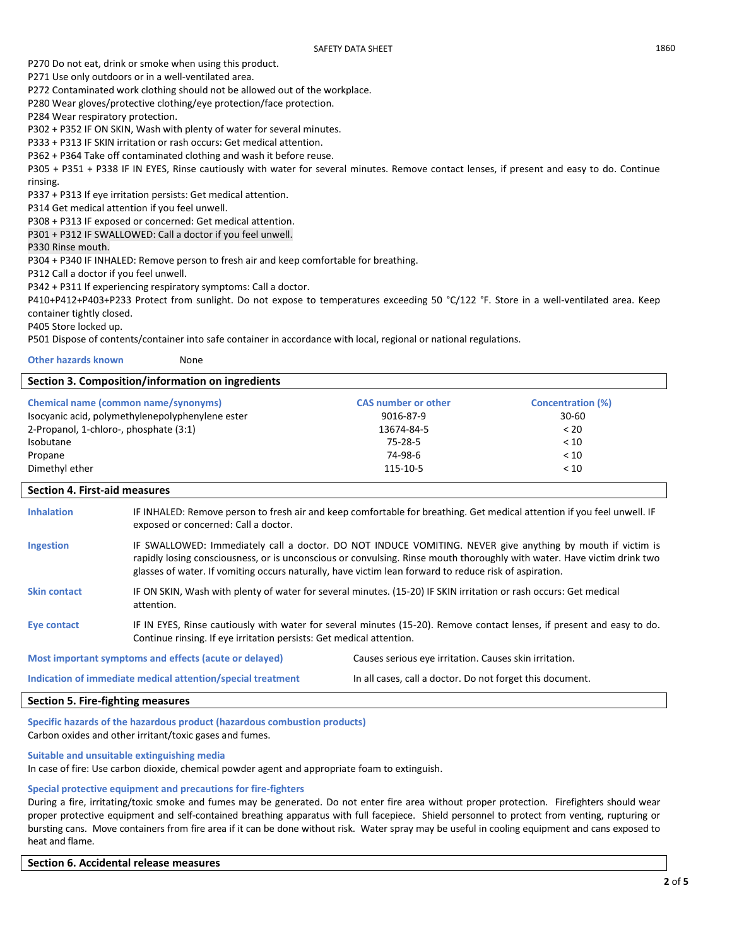P270 Do not eat, drink or smoke when using this product.

P271 Use only outdoors or in a well-ventilated area.

P272 Contaminated work clothing should not be allowed out of the workplace.

P280 Wear gloves/protective clothing/eye protection/face protection.

P284 Wear respiratory protection.

P302 + P352 IF ON SKIN, Wash with plenty of water for several minutes.

P333 + P313 IF SKIN irritation or rash occurs: Get medical attention.

P362 + P364 Take off contaminated clothing and wash it before reuse.

P305 + P351 + P338 IF IN EYES, Rinse cautiously with water for several minutes. Remove contact lenses, if present and easy to do. Continue rinsing.

P337 + P313 If eye irritation persists: Get medical attention.

P314 Get medical attention if you feel unwell.

P308 + P313 IF exposed or concerned: Get medical attention.

P301 + P312 IF SWALLOWED: Call a doctor if you feel unwell.

P330 Rinse mouth.

P304 + P340 IF INHALED: Remove person to fresh air and keep comfortable for breathing.

P312 Call a doctor if you feel unwell.

P342 + P311 If experiencing respiratory symptoms: Call a doctor.

P410+P412+P403+P233 Protect from sunlight. Do not expose to temperatures exceeding 50 °C/122 °F. Store in a well-ventilated area. Keep container tightly closed.

P405 Store locked up.

P501 Dispose of contents/container into safe container in accordance with local, regional or national regulations.

**Other hazards known** None

# **Section 3. Composition/information on ingredients**

| <b>Chemical name (common name/synonyms)</b>      | <b>CAS number or other</b> | <b>Concentration (%)</b> |
|--------------------------------------------------|----------------------------|--------------------------|
| Isocyanic acid, polymethylenepolyphenylene ester | 9016-87-9                  | $30 - 60$                |
| 2-Propanol, 1-chloro-, phosphate (3:1)           | 13674-84-5                 | < 20                     |
| Isobutane                                        | 75-28-5                    | < 10                     |
| Propane                                          | 74-98-6                    | < 10                     |
| Dimethyl ether                                   | 115-10-5                   | < 10                     |

#### **Section 4. First-aid measures**

| <b>Inhalation</b>   | IF INHALED: Remove person to fresh air and keep comfortable for breathing. Get medical attention if you feel unwell. IF<br>exposed or concerned: Call a doctor.                                                                                                                                                                                 |
|---------------------|-------------------------------------------------------------------------------------------------------------------------------------------------------------------------------------------------------------------------------------------------------------------------------------------------------------------------------------------------|
| <b>Ingestion</b>    | IF SWALLOWED: Immediately call a doctor. DO NOT INDUCE VOMITING. NEVER give anything by mouth if victim is<br>rapidly losing consciousness, or is unconscious or convulsing. Rinse mouth thoroughly with water. Have victim drink two<br>glasses of water. If vomiting occurs naturally, have victim lean forward to reduce risk of aspiration. |
| <b>Skin contact</b> | IF ON SKIN, Wash with plenty of water for several minutes. (15-20) IF SKIN irritation or rash occurs: Get medical<br>attention.                                                                                                                                                                                                                 |
| Eye contact         | IF IN EYES, Rinse cautiously with water for several minutes (15-20). Remove contact lenses, if present and easy to do.<br>Continue rinsing. If eye irritation persists: Get medical attention.                                                                                                                                                  |

**Most important symptoms and effects (acute or delayed)** Causes serious eye irritation. Causes skin irritation.

**Indication of immediate medical attention/special treatment** In all cases, call a doctor. Do not forget this document.

## **Section 5. Fire-fighting measures**

**Specific hazards of the hazardous product (hazardous combustion products)**  Carbon oxides and other irritant/toxic gases and fumes.

**Suitable and unsuitable extinguishing media**

In case of fire: Use carbon dioxide, chemical powder agent and appropriate foam to extinguish.

## **Special protective equipment and precautions for fire-fighters**

During a fire, irritating/toxic smoke and fumes may be generated. Do not enter fire area without proper protection. Firefighters should wear proper protective equipment and self-contained breathing apparatus with full facepiece. Shield personnel to protect from venting, rupturing or bursting cans. Move containers from fire area if it can be done without risk. Water spray may be useful in cooling equipment and cans exposed to heat and flame.

#### **Section 6. Accidental release measures**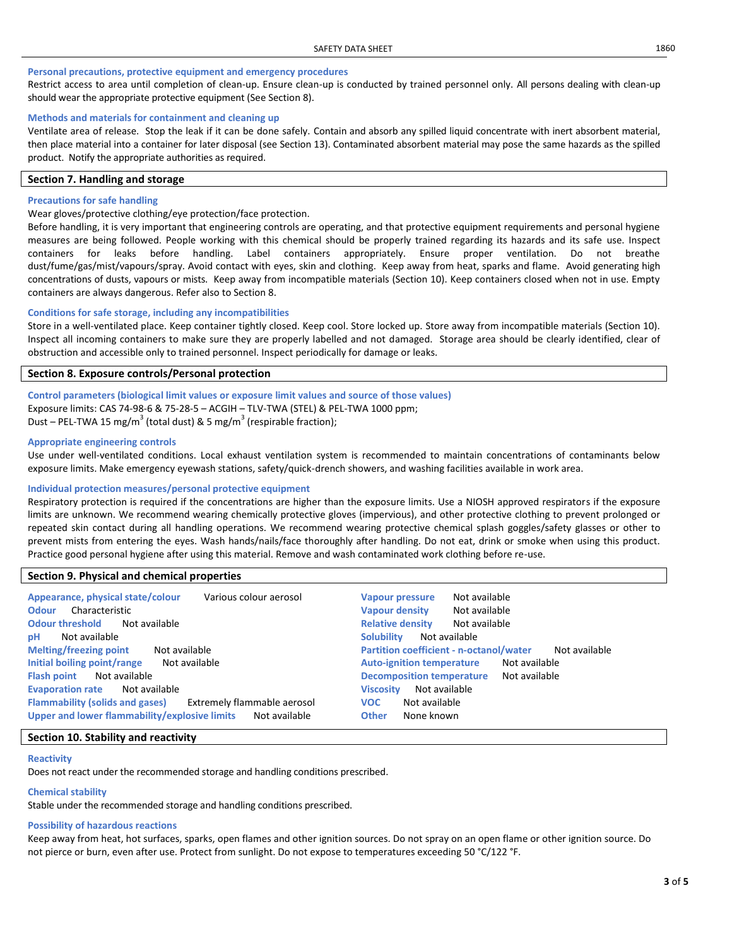#### **Personal precautions, protective equipment and emergency procedures**

Restrict access to area until completion of clean-up. Ensure clean-up is conducted by trained personnel only. All persons dealing with clean-up should wear the appropriate protective equipment (See Section 8).

#### **Methods and materials for containment and cleaning up**

Ventilate area of release. Stop the leak if it can be done safely. Contain and absorb any spilled liquid concentrate with inert absorbent material, then place material into a container for later disposal (see Section 13). Contaminated absorbent material may pose the same hazards as the spilled product. Notify the appropriate authorities as required.

## **Section 7. Handling and storage**

#### **Precautions for safe handling**

#### Wear gloves/protective clothing/eye protection/face protection.

Before handling, it is very important that engineering controls are operating, and that protective equipment requirements and personal hygiene measures are being followed. People working with this chemical should be properly trained regarding its hazards and its safe use. Inspect containers for leaks before handling. Label containers appropriately. Ensure proper ventilation. Do not breathe dust/fume/gas/mist/vapours/spray. Avoid contact with eyes, skin and clothing. Keep away from heat, sparks and flame. Avoid generating high concentrations of dusts, vapours or mists. Keep away from incompatible materials (Section 10). Keep containers closed when not in use. Empty containers are always dangerous. Refer also to Section 8.

#### **Conditions for safe storage, including any incompatibilities**

Store in a well-ventilated place. Keep container tightly closed. Keep cool. Store locked up. Store away from incompatible materials (Section 10). Inspect all incoming containers to make sure they are properly labelled and not damaged. Storage area should be clearly identified, clear of obstruction and accessible only to trained personnel. Inspect periodically for damage or leaks.

# **Section 8. Exposure controls/Personal protection**

# **Control parameters (biological limit values or exposure limit values and source of those values)**  Exposure limits: CAS 74-98-6 & 75-28-5 – ACGIH – TLV-TWA (STEL) & PEL-TWA 1000 ppm; Dust – PEL-TWA 15 mg/m<sup>3</sup> (total dust) & 5 mg/m<sup>3</sup> (respirable fraction);

# **Appropriate engineering controls**

Use under well-ventilated conditions. Local exhaust ventilation system is recommended to maintain concentrations of contaminants below exposure limits. Make emergency eyewash stations, safety/quick-drench showers, and washing facilities available in work area.

#### **Individual protection measures/personal protective equipment**

Respiratory protection is required if the concentrations are higher than the exposure limits. Use a NIOSH approved respirators if the exposure limits are unknown. We recommend wearing chemically protective gloves (impervious), and other protective clothing to prevent prolonged or repeated skin contact during all handling operations. We recommend wearing protective chemical splash goggles/safety glasses or other to prevent mists from entering the eyes. Wash hands/nails/face thoroughly after handling. Do not eat, drink or smoke when using this product. Practice good personal hygiene after using this material. Remove and wash contaminated work clothing before re-use.

## **Section 9. Physical and chemical properties**

| Appearance, physical state/colour             | Not available                                  |
|-----------------------------------------------|------------------------------------------------|
| Various colour aerosol                        | <b>Vapour pressure</b>                         |
| Characteristic                                | <b>Vapour density</b>                          |
| <b>Odour</b>                                  | Not available                                  |
| <b>Odour threshold</b>                        | <b>Relative density</b>                        |
| Not available                                 | Not available                                  |
| Not available                                 | <b>Solubility</b>                              |
| рH                                            | Not available                                  |
| <b>Melting/freezing point</b>                 | <b>Partition coefficient - n-octanol/water</b> |
| Not available                                 | Not available                                  |
| Initial boiling point/range                   | Not available                                  |
| Not available                                 | <b>Auto-ignition temperature</b>               |
| <b>Flash point</b>                            | <b>Decomposition temperature</b>               |
| Not available                                 | Not available                                  |
| <b>Evaporation rate</b>                       | Not available                                  |
| Not available                                 | <b>Viscosity</b>                               |
| <b>Flammability (solids and gases)</b>        | Not available                                  |
| Extremely flammable aerosol                   | <b>VOC</b>                                     |
| Upper and lower flammability/explosive limits | <b>Other</b>                                   |
| Not available                                 | None known                                     |

#### **Section 10. Stability and reactivity**

#### **Reactivity**

Does not react under the recommended storage and handling conditions prescribed.

#### **Chemical stability**

Stable under the recommended storage and handling conditions prescribed.

### **Possibility of hazardous reactions**

Keep away from heat, hot surfaces, sparks, open flames and other ignition sources. Do not spray on an open flame or other ignition source. Do not pierce or burn, even after use. Protect from sunlight. Do not expose to temperatures exceeding 50 °C/122 °F.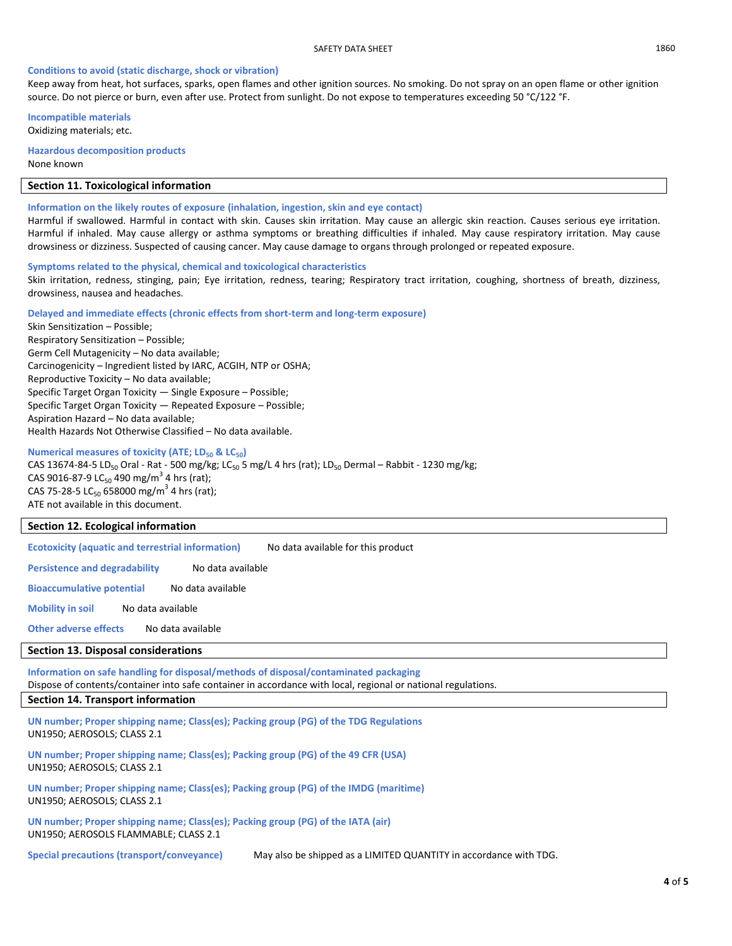## **Conditions to avoid (static discharge, shock or vibration)**

Keep away from heat, hot surfaces, sparks, open flames and other ignition sources. No smoking. Do not spray on an open flame or other ignition source. Do not pierce or burn, even after use. Protect from sunlight. Do not expose to temperatures exceeding 50 °C/122 °F.

**Incompatible materials** Oxidizing materials; etc.

**Hazardous decomposition products** None known

# **Section 11. Toxicological information**

### **Information on the likely routes of exposure (inhalation, ingestion, skin and eye contact)**

Harmful if swallowed. Harmful in contact with skin. Causes skin irritation. May cause an allergic skin reaction. Causes serious eye irritation. Harmful if inhaled. May cause allergy or asthma symptoms or breathing difficulties if inhaled. May cause respiratory irritation. May cause drowsiness or dizziness. Suspected of causing cancer. May cause damage to organs through prolonged or repeated exposure.

## **Symptoms related to the physical, chemical and toxicological characteristics**

Skin irritation, redness, stinging, pain; Eye irritation, redness, tearing; Respiratory tract irritation, coughing, shortness of breath, dizziness, drowsiness, nausea and headaches.

#### **Delayed and immediate effects (chronic effects from short-term and long-term exposure)**

Skin Sensitization – Possible; Respiratory Sensitization – Possible; Germ Cell Mutagenicity – No data available; Carcinogenicity – Ingredient listed by IARC, ACGIH, NTP or OSHA; Reproductive Toxicity – No data available; Specific Target Organ Toxicity — Single Exposure – Possible; Specific Target Organ Toxicity — Repeated Exposure – Possible; Aspiration Hazard – No data available; Health Hazards Not Otherwise Classified – No data available.

# **Numerical measures of toxicity (ATE; LD<sup>50</sup> & LC50)**

CAS 13674-84-5 LD<sub>50</sub> Oral - Rat - 500 mg/kg; LC<sub>50</sub> 5 mg/L 4 hrs (rat); LD<sub>50</sub> Dermal – Rabbit - 1230 mg/kg; CAS 9016-87-9 LC $_{50}$  490 mg/m<sup>3</sup> 4 hrs (rat); CAS 75-28-5 LC<sub>50</sub> 658000 mg/m<sup>3</sup> 4 hrs (rat); ATE not available in this document.

# **Section 12. Ecological information**

**Ecotoxicity (aquatic and terrestrial information)** No data available for this product

**Persistence and degradability** No data available

**Bioaccumulative potential** No data available

**Mobility in soil** No data available

**Other adverse effects** No data available

# **Section 13. Disposal considerations**

**Information on safe handling for disposal/methods of disposal/contaminated packaging**  Dispose of contents/container into safe container in accordance with local, regional or national regulations.

# **Section 14. Transport information**

**UN number; Proper shipping name; Class(es); Packing group (PG) of the TDG Regulations** UN1950; AEROSOLS; CLASS 2.1

**UN number; Proper shipping name; Class(es); Packing group (PG) of the 49 CFR (USA)** UN1950; AEROSOLS; CLASS 2.1

**UN number; Proper shipping name; Class(es); Packing group (PG) of the IMDG (maritime)** UN1950; AEROSOLS; CLASS 2.1

**UN number; Proper shipping name; Class(es); Packing group (PG) of the IATA (air)** UN1950; AEROSOLS FLAMMABLE; CLASS 2.1

**Special precautions (transport/conveyance)** May also be shipped as a LIMITED QUANTITY in accordance with TDG.